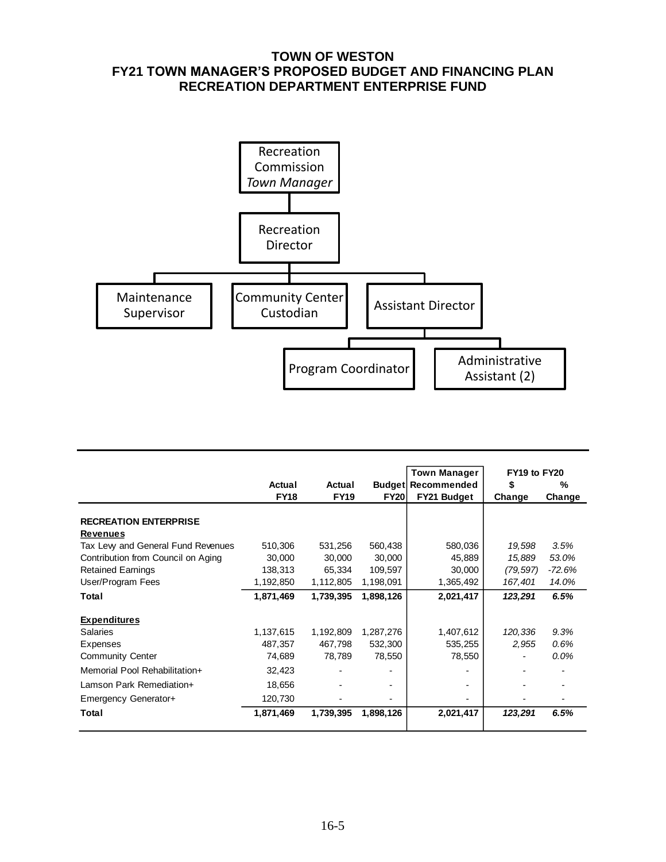## **TOWN OF WESTON FY21 TOWN MANAGER'S PROPOSED BUDGET AND FINANCING PLAN RECREATION DEPARTMENT ENTERPRISE FUND**



|                                    |             |                          |             | <b>Town Manager</b>       | FY19 to FY20 |         |
|------------------------------------|-------------|--------------------------|-------------|---------------------------|--------------|---------|
|                                    | Actual      | Actual                   |             | <b>Budget Recommended</b> | \$           | %       |
|                                    | <b>FY18</b> | <b>FY19</b>              | <b>FY20</b> | FY21 Budget               | Change       | Change  |
|                                    |             |                          |             |                           |              |         |
| <b>RECREATION ENTERPRISE</b>       |             |                          |             |                           |              |         |
| <b>Revenues</b>                    |             |                          |             |                           |              |         |
| Tax Levy and General Fund Revenues | 510,306     | 531,256                  | 560,438     | 580,036                   | 19,598       | 3.5%    |
| Contribution from Council on Aging | 30,000      | 30,000                   | 30,000      | 45,889                    | 15,889       | 53.0%   |
| <b>Retained Earnings</b>           | 138,313     | 65,334                   | 109,597     | 30,000                    | (79, 597)    | -72.6%  |
| User/Program Fees                  | 1,192,850   | 1,112,805                | 1,198,091   | 1,365,492                 | 167,401      | 14.0%   |
| Total                              | 1,871,469   | 1,739,395                | 1,898,126   | 2,021,417                 | 123,291      | 6.5%    |
| <b>Expenditures</b>                |             |                          |             |                           |              |         |
| <b>Salaries</b>                    | 1,137,615   | 1,192,809                | 1,287,276   | 1,407,612                 | 120,336      | 9.3%    |
| Expenses                           | 487,357     | 467,798                  | 532,300     | 535,255                   | 2,955        | 0.6%    |
| <b>Community Center</b>            | 74,689      | 78,789                   | 78,550      | 78,550                    |              | $0.0\%$ |
| Memorial Pool Rehabilitation+      | 32,423      | $\overline{\phantom{0}}$ | -           |                           |              |         |
| Lamson Park Remediation+           | 18,656      |                          |             |                           |              |         |
| Emergency Generator+               | 120,730     |                          |             |                           |              |         |
| Total                              | 1,871,469   | 1,739,395                | 1,898,126   | 2,021,417                 | 123,291      | 6.5%    |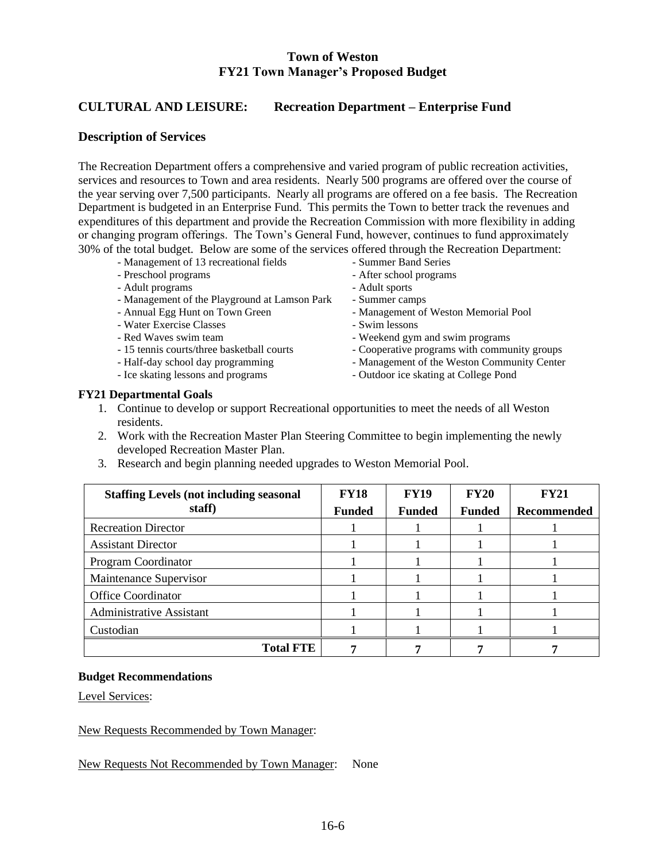### **Town of Weston FY21 Town Manager's Proposed Budget**

## **CULTURAL AND LEISURE: Recreation Department – Enterprise Fund**

### **Description of Services**

The Recreation Department offers a comprehensive and varied program of public recreation activities, services and resources to Town and area residents. Nearly 500 programs are offered over the course of the year serving over 7,500 participants. Nearly all programs are offered on a fee basis. The Recreation Department is budgeted in an Enterprise Fund. This permits the Town to better track the revenues and expenditures of this department and provide the Recreation Commission with more flexibility in adding or changing program offerings. The Town's General Fund, however, continues to fund approximately 30% of the total budget. Below are some of the services offered through the Recreation Department:

- Management of 13 recreational fields Summer Band Series
- Preschool programs After school programs
- Adult programs Adult sports
- Management of the Playground at Lamson Park Summer camps<br>- Annual Egg Hunt on Town Green Management of
- 
- Water Exercise Classes Swim lessons
- 
- 
- 
- 
- 
- 
- 
- 
- Management of Weston Memorial Pool
- 
- Red Waves swim team  $-$  Weekend gym and swim programs
- 15 tennis courts/three basketball courts Cooperative programs with community groups
- Half-day school day programming Management of the Weston Community Center
- Ice skating lessons and programs Outdoor ice skating at College Pond

#### **FY21 Departmental Goals**

- 1. Continue to develop or support Recreational opportunities to meet the needs of all Weston residents.
- 2. Work with the Recreation Master Plan Steering Committee to begin implementing the newly developed Recreation Master Plan.
- 3. Research and begin planning needed upgrades to Weston Memorial Pool.

| <b>Staffing Levels (not including seasonal)</b><br>staff) | <b>FY18</b><br><b>Funded</b> | <b>FY19</b><br><b>Funded</b> | <b>FY20</b><br><b>Funded</b> | <b>FY21</b><br><b>Recommended</b> |
|-----------------------------------------------------------|------------------------------|------------------------------|------------------------------|-----------------------------------|
| <b>Recreation Director</b>                                |                              |                              |                              |                                   |
| <b>Assistant Director</b>                                 |                              |                              |                              |                                   |
| Program Coordinator                                       |                              |                              |                              |                                   |
| Maintenance Supervisor                                    |                              |                              |                              |                                   |
| <b>Office Coordinator</b>                                 |                              |                              |                              |                                   |
| <b>Administrative Assistant</b>                           |                              |                              |                              |                                   |
| Custodian                                                 |                              |                              |                              |                                   |
| <b>Total FTE</b>                                          |                              |                              |                              |                                   |

#### **Budget Recommendations**

Level Services:

New Requests Recommended by Town Manager:

New Requests Not Recommended by Town Manager: None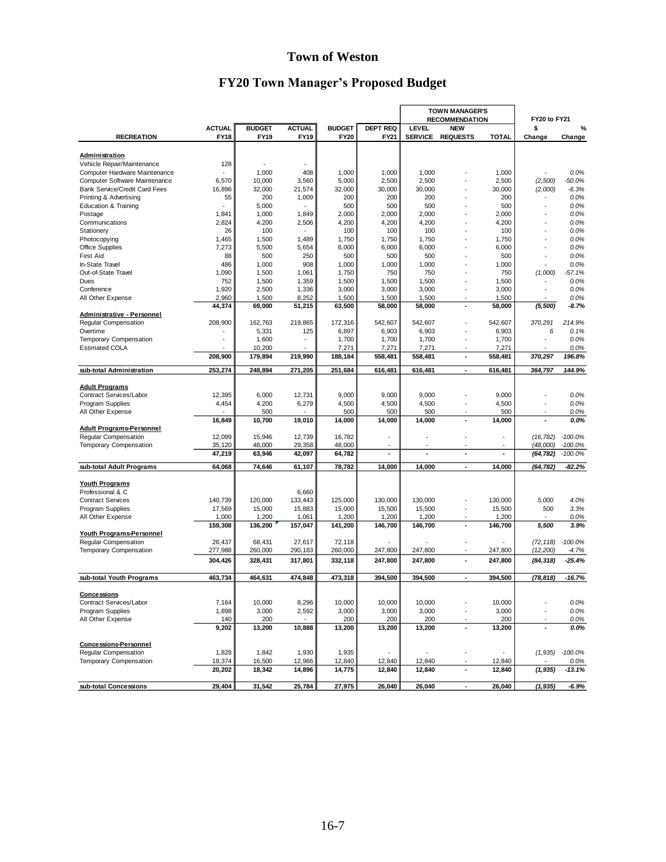# **Town of Weston**

# **FY20 Town Manager's Proposed Budget**

|                                           |                              |                              |                              |                              |                                | <b>TOWN MANAGER'S</b><br><b>RECOMMENDATION</b> |                               |                 | FY20 to FY21             |                     |  |
|-------------------------------------------|------------------------------|------------------------------|------------------------------|------------------------------|--------------------------------|------------------------------------------------|-------------------------------|-----------------|--------------------------|---------------------|--|
| <b>RECREATION</b>                         | <b>ACTUAL</b><br><b>FY18</b> | <b>BUDGET</b><br><b>FY19</b> | <b>ACTUAL</b><br><b>FY19</b> | <b>BUDGET</b><br><b>FY20</b> | <b>DEPT REQ</b><br><b>FY21</b> | LEVEL<br><b>SERVICE</b>                        | <b>NEW</b><br><b>REQUESTS</b> | <b>TOTAL</b>    | \$<br>Change             | %<br>Change         |  |
| <b>Administration</b>                     |                              |                              |                              |                              |                                |                                                |                               |                 |                          |                     |  |
| Vehicle Repair/Maintenance                | 128                          |                              | ÷,                           |                              |                                |                                                |                               |                 |                          |                     |  |
| Computer Hardware Maintenance             |                              | 1,000                        | 408                          | 1,000                        | 1,000                          | 1,000                                          |                               | 1,000           |                          | 0.0%                |  |
| Computer Software Maintenance             | 6,570                        | 10,000                       | 3,560                        | 5,000                        | 2,500                          | 2,500                                          |                               | 2,500           | (2,500)                  | $-50.0\%$           |  |
| <b>Bank Service/Credit Card Fees</b>      | 16,896                       | 32,000                       | 21,574                       | 32,000                       | 30,000                         | 30,000                                         |                               | 30,000          | (2,000)                  | $-6.3%$             |  |
| Printing & Advertising                    | 55                           | 200                          | 1,009                        | 200                          | 200                            | 200                                            |                               | 200             |                          | 0.0%                |  |
| <b>Education &amp; Training</b>           |                              | 5,000                        |                              | 500                          | 500                            | 500                                            |                               | 500             |                          | 0.0%                |  |
| Postage                                   | 1,841                        | 1,000                        | 1,849                        | 2,000                        | 2,000                          | 2,000                                          |                               | 2,000           |                          | 0.0%                |  |
| Communications                            | 2,824                        | 4,200                        | 2,506                        | 4,200                        | 4,200                          | 4,200                                          | $\overline{\phantom{a}}$      | 4,200           |                          | 0.0%                |  |
| Stationery                                | 26                           | 100                          |                              | 100                          | 100                            | 100                                            |                               | 100             |                          | 0.0%                |  |
| Photocopying                              | 1,465                        | 1,500                        | 1,489                        | 1,750                        | 1,750                          | 1,750                                          | ÷,                            | 1,750           |                          | 0.0%                |  |
| <b>Office Supplies</b>                    | 7,273                        | 5,500                        | 5,654                        | 6,000                        | 6,000                          | 6,000                                          |                               | 6,000           |                          | 0.0%                |  |
| First Aid                                 | 88                           | 500                          | 250                          | 500                          | 500                            | 500                                            |                               | 500             |                          | 0.0%                |  |
| In-State Travel                           | 486                          | 1,000                        | 908                          | 1,000                        | 1,000                          | 1,000                                          |                               | 1,000           |                          | 0.0%                |  |
| Out-of-State Travel                       | 1,090                        | 1,500                        | 1,061                        | 1,750                        | 750                            | 750                                            |                               | 750             | (1,000)                  | $-57.1%$            |  |
| Dues                                      | 752                          | 1,500                        | 1,359                        | 1,500                        | 1,500                          | 1,500                                          |                               | 1,500           |                          | 0.0%                |  |
| Conference                                | 1,920                        | 2,500                        | 1,336                        | 3,000                        | 3,000                          | 3,000                                          | $\ddot{\phantom{1}}$          | 3,000           |                          | 0.0%                |  |
| All Other Expense                         | 2,960                        | 1,500                        | 8,252                        | 1,500                        | 1,500                          | 1,500                                          | $\overline{\phantom{a}}$      | 1,500           |                          | 0.0%                |  |
|                                           | 44,374                       | 69,000                       | 51,215                       | 63,500                       | 58,000                         | 58,000                                         | ×,                            | 58,000          | (5,500)                  | $-8.7%$             |  |
| <b>Administrative - Personnel</b>         |                              |                              |                              |                              |                                |                                                |                               |                 |                          |                     |  |
| Regular Compensation                      | 208,900                      | 162,763                      | 219,865                      | 172.316                      | 542,607                        | 542,607                                        |                               | 542,607         | 370,291                  | 214.9%              |  |
| Overtime                                  |                              | 5,331                        | 125                          | 6,897                        | 6,903                          | 6,903                                          |                               | 6,903           | 6                        | 0.1%                |  |
| <b>Temporary Compensation</b>             |                              | 1,600                        | ٠                            | 1,700                        | 1,700                          | 1,700                                          | $\overline{\phantom{a}}$      | 1,700           | ٠                        | 0.0%                |  |
| <b>Estimated COLA</b>                     |                              | 10,200                       |                              | 7,271                        | 7,271                          | 7,271                                          |                               | 7,271           |                          | 0.0%                |  |
|                                           | 208,900                      | 179,894                      | 219,990                      | 188,184                      | 558,481                        | 558,481                                        | $\overline{\phantom{a}}$      | 558,481         | 370,297                  | 196.8%              |  |
| sub-total Administration                  | 253,274                      | 248,894                      | 271,205                      | 251,684                      | 616,481                        | 616.481                                        | $\overline{\phantom{a}}$      | 616,481         | 364,797                  | 144.9%              |  |
| <b>Adult Programs</b>                     |                              |                              |                              |                              |                                |                                                |                               |                 |                          |                     |  |
| Contract Services/Labor                   | 12,395                       | 6,000                        | 12,731                       | 9,000                        | 9,000                          | 9,000                                          | ÷,                            | 9,000           |                          | 0.0%                |  |
| Program Supplies                          | 4,454                        | 4,200                        | 6,279                        | 4,500                        | 4,500                          | 4,500                                          | ÷,                            | 4,500           | $\overline{\phantom{a}}$ | 0.0%                |  |
| All Other Expense                         |                              | 500                          |                              | 500                          | 500                            | 500                                            | $\overline{\phantom{a}}$      | 500             | $\overline{\phantom{a}}$ | 0.0%                |  |
|                                           | 16,849                       | 10,700                       | 19,010                       | 14,000                       | 14,000                         | 14,000                                         | $\blacksquare$                | 14,000          | $\overline{a}$           | 0.0%                |  |
| <b>Adult Programs-Personnel</b>           |                              |                              |                              |                              |                                |                                                |                               |                 |                          |                     |  |
| Regular Compensation                      | 12,099                       | 15,946                       | 12,739                       | 16,782                       | ٠                              | ÷                                              |                               |                 | (16, 782)                | $-100.0%$           |  |
| Temporary Compensation                    | 35,120                       | 48,000                       | 29,358                       | 48,000                       |                                |                                                |                               |                 | (48,000)                 | $-100.0\%$          |  |
|                                           | 47,219                       | 63,946                       | 42,097                       | 64,782                       | $\overline{\phantom{0}}$       | ٠                                              | ٠                             | ä,              | (64, 782)                | $-100.0\%$          |  |
| sub-total Adult Programs                  | 64,068                       | 74,646                       | 61,107                       | 78,782                       | 14,000                         | 14,000                                         | $\overline{\phantom{a}}$      | 14,000          | (64, 782)                | -82.2%              |  |
|                                           |                              |                              |                              |                              |                                |                                                |                               |                 |                          |                     |  |
| <b>Youth Programs</b><br>Professional & C |                              |                              | 6,660                        |                              |                                |                                                |                               |                 |                          |                     |  |
| <b>Contract Services</b>                  | 140,739                      | 120,000                      | 133,443                      | 125,000                      | 130,000                        | 130,000                                        | ÷,                            | 130,000         | 5,000                    | 4.0%                |  |
| Program Supplies                          | 17,569                       | 15,000                       | 15,883                       | 15,000                       | 15,500                         | 15,500                                         | ÷,                            | 15,500          | 500                      | 3.3%                |  |
| All Other Expense                         | 1,000                        | 1,200                        | 1,061                        | 1,200                        | 1,200                          | 1,200                                          |                               | 1,200           |                          | 0.0%                |  |
|                                           | 159,308                      | 136,200                      | 157,047                      | 141,200                      | 146,700                        | 146,700                                        | ٠                             | 146,700         | 5,500                    | 3.9%                |  |
| Youth Programs-Personnel                  |                              |                              |                              |                              |                                |                                                |                               |                 |                          |                     |  |
| Regular Compensation                      | 26,437                       | 68,431                       | 27,617                       | 72,118                       |                                |                                                |                               |                 | $(72, 118) -100.0\%$     |                     |  |
| Temporary Compensation                    | 277,988                      | 260,000                      | 290,183                      | 260,000                      | 247,800                        | 247,800                                        | ÷,                            | 247,800         | (12, 200)                | -4.7%               |  |
|                                           | 304,426                      | 328,431                      | 317,801                      | 332,118                      | 247.800                        | 247,800                                        | $\overline{\phantom{a}}$      | 247,800         | (84, 318)                | $-25.4%$            |  |
| sub-total Youth Programs                  | 463,734                      | 464,631                      | 474,848                      | 473,318                      | 394,500                        | 394,500                                        | ٠                             | 394,500         | (78, 818)                | $-16.7%$            |  |
|                                           |                              |                              |                              |                              |                                |                                                |                               |                 |                          |                     |  |
| <u>Concessions</u>                        |                              |                              |                              | 10,000                       |                                |                                                |                               |                 |                          |                     |  |
| Contract Services/Labor                   | 7,164<br>1,898               | 10,000                       | 8,296<br>2,592               |                              | 10,000                         | 10,000                                         |                               | 10,000<br>3,000 |                          | 0.0%                |  |
| Program Supplies                          |                              | 3,000                        |                              | 3,000                        | 3,000                          | 3,000                                          |                               |                 |                          | 0.0%                |  |
| All Other Expense                         | 140<br>9,202                 | 200<br>13,200                | 10,888                       | 200<br>13,200                | 200<br>13,200                  | 200<br>13,200                                  | $\overline{\phantom{a}}$      | 200<br>13,200   |                          | $0.0\%$<br>$0.0\%$  |  |
|                                           |                              |                              |                              |                              |                                |                                                |                               |                 |                          |                     |  |
| <b>Concessions-Personnel</b>              |                              |                              |                              |                              |                                |                                                |                               |                 |                          |                     |  |
| Regular Compensation                      | 1,828                        | 1,842                        | 1,930                        | 1,935                        |                                |                                                | ÷,                            |                 | (1, 935)                 | $-100.0\%$          |  |
| Temporary Compensation                    | 18,374<br>20,202             | 16,500<br>18,342             | 12,966                       | 12,840                       | 12,840<br>12,840               | 12,840                                         | Ĭ.                            | 12,840          |                          | $0.0\%$<br>$-13.1%$ |  |
|                                           |                              |                              | 14,896                       | 14,775                       |                                | 12,840                                         |                               | 12,840          | (1, 935)                 |                     |  |
| sub-total Concessions                     | 29,404                       | 31,542                       | 25,784                       | 27,975                       | 26,040                         | 26,040                                         | $\overline{\phantom{a}}$      | 26,040          | (1, 935)                 | -6.9%               |  |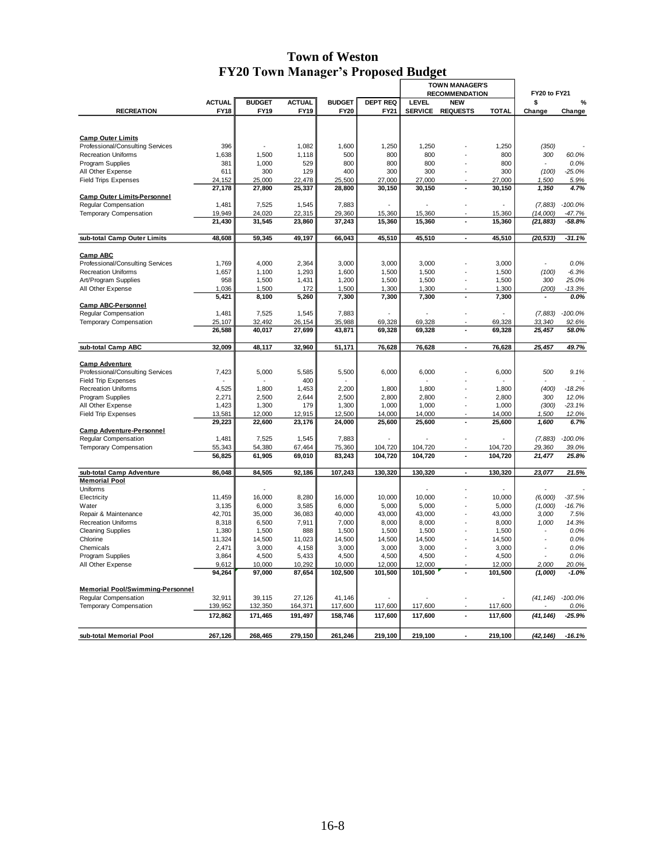# **Town of Weston FY20 Town Manager's Proposed Budget**

|                                                  |                  |                  |                  |                  |                    | <b>TOWN MANAGER'S</b><br><b>RECOMMENDATION</b> |                          | FY20 to FY21     |                   |                  |
|--------------------------------------------------|------------------|------------------|------------------|------------------|--------------------|------------------------------------------------|--------------------------|------------------|-------------------|------------------|
|                                                  | <b>ACTUAL</b>    | <b>BUDGET</b>    | <b>ACTUAL</b>    | <b>BUDGET</b>    | <b>DEPT REQ</b>    | LEVEL                                          | <b>NEW</b>               |                  | \$                | %                |
| <b>RECREATION</b>                                | <b>FY18</b>      | FY19             | FY19             | <b>FY20</b>      | FY21               | <b>SERVICE</b>                                 | <b>REQUESTS</b>          | <b>TOTAL</b>     | Change            | Change           |
|                                                  |                  |                  |                  |                  |                    |                                                |                          |                  |                   |                  |
|                                                  |                  |                  |                  |                  |                    |                                                |                          |                  |                   |                  |
| <b>Camp Outer Limits</b>                         |                  |                  |                  |                  |                    |                                                |                          |                  |                   |                  |
| Professional/Consulting Services                 | 396              |                  | 1,082            | 1,600            | 1,250              | 1,250                                          |                          | 1,250            | (350)             |                  |
| <b>Recreation Uniforms</b>                       | 1,638            | 1,500            | 1,118            | 500              | 800                | 800                                            |                          | 800              | 300               | 60.0%            |
| <b>Program Supplies</b>                          | 381<br>611       | 1,000<br>300     | 529<br>129       | 800<br>400       | 800<br>300         | 800<br>300                                     |                          | 800<br>300       |                   | 0.0%<br>$-25.0%$ |
| All Other Expense<br><b>Field Trips Expenses</b> | 24,152           | 25,000           | 22,478           | 25,500           | 27,000             | 27,000                                         |                          | 27,000           | (100)<br>1,500    | 5.9%             |
|                                                  | 27,178           | 27,800           | 25,337           | 28,800           | 30,150             | 30,150                                         |                          | 30,150           | 1,350             | 4.7%             |
| <b>Camp Outer Limits-Personnel</b>               |                  |                  |                  |                  |                    |                                                |                          |                  |                   |                  |
| Regular Compensation                             | 1,481            | 7,525            | 1,545            | 7,883            |                    |                                                |                          |                  | (7,883)           | $-100.0%$        |
| Temporary Compensation                           | 19,949           | 24,020           | 22,315           | 29,360           | 15,360             | 15,360                                         |                          | 15,360           | (14,000)          | $-47.7%$         |
|                                                  | 21,430           | 31,545           | 23,860           | 37,243           | 15,360             | 15,360                                         | Ĭ.                       | 15,360           | (21, 883)         | $-58.8%$         |
|                                                  |                  |                  |                  |                  |                    |                                                |                          |                  |                   |                  |
| sub-total Camp Outer Limits                      | 48,608           | 59,345           | 49,197           | 66,043           | 45,510             | 45,510                                         | $\overline{\phantom{a}}$ | 45,510           | (20, 533)         | -31.1%           |
| <b>Camp ABC</b>                                  |                  |                  |                  |                  |                    |                                                |                          |                  |                   |                  |
| Professional/Consulting Services                 | 1,769            | 4,000            | 2,364            | 3,000            | 3,000              | 3,000                                          |                          | 3,000            |                   | 0.0%             |
| <b>Recreation Uniforms</b>                       | 1,657            | 1,100            | 1,293            | 1,600            | 1,500              | 1,500                                          |                          | 1,500            | (100)             | $-6.3%$          |
| Art/Program Supplies                             | 958              | 1,500            | 1,431            | 1,200            | 1,500              | 1,500                                          |                          | 1,500            | 300               | 25.0%            |
| All Other Expense                                | 1,036            | 1,500            | 172              | 1,500            | 1,300              | 1,300                                          |                          | 1,300            | (200)             | $-13.3%$         |
|                                                  | 5,421            | 8,100            | 5,260            | 7,300            | 7,300              | 7,300                                          | Ĭ.                       | 7,300            |                   | 0.0%             |
| <b>Camp ABC-Personnel</b>                        |                  |                  |                  |                  |                    |                                                |                          |                  |                   |                  |
| <b>Regular Compensation</b>                      | 1,481            | 7,525            | 1,545<br>26,154  | 7,883            |                    |                                                |                          |                  | (7,883)<br>33,340 | $-100.0\%$       |
| <b>Temporary Compensation</b>                    | 25,107<br>26,588 | 32,492<br>40,017 | 27,699           | 35,988<br>43,871 | 69,328<br>69,328   | 69,328<br>69,328                               | Ĭ.                       | 69,328<br>69,328 | 25,457            | 92.6%<br>58.0%   |
|                                                  |                  |                  |                  |                  |                    |                                                |                          |                  |                   |                  |
| sub-total Camp ABC                               | 32,009           | 48,117           | 32,960           | 51,171           | 76,628             | 76,628                                         | $\blacksquare$           | 76,628           | 25,457            | 49.7%            |
| <b>Camp Adventure</b>                            |                  |                  |                  |                  |                    |                                                |                          |                  |                   |                  |
| Professional/Consulting Services                 | 7,423            | 5,000            | 5,585            | 5,500            | 6,000              | 6,000                                          |                          | 6,000            | 500               | 9.1%             |
| <b>Field Trip Expenses</b>                       |                  |                  | 400              |                  |                    |                                                |                          |                  |                   |                  |
| <b>Recreation Uniforms</b>                       | 4.525            | 1.800            | 1.453            | 2.200            | 1,800              | 1.800                                          |                          | 1,800            | (400)             | $-18.2%$         |
| Program Supplies                                 | 2,271            | 2,500            | 2,644            | 2,500            | 2,800              | 2,800                                          |                          | 2,800            | 300               | 12.0%            |
| All Other Expense                                | 1,423            | 1,300            | 179              | 1,300            | 1,000              | 1,000                                          | ÷,                       | 1,000            | (300)             | $-23.1%$         |
| <b>Field Trip Expenses</b>                       | 13,581           | 12,000           | 12,915           | 12,500           | 14,000             | 14,000                                         |                          | 14,000           | 1,500             | 12.0%            |
|                                                  | 29,223           | 22,600           | 23,176           | 24,000           | 25,600             | 25,600                                         | $\overline{\phantom{a}}$ | 25,600           | 1,600             | 6.7%             |
| <b>Camp Adventure-Personnel</b>                  |                  |                  |                  |                  |                    |                                                |                          |                  |                   |                  |
| Regular Compensation                             | 1,481            | 7,525            | 1,545            | 7,883            |                    |                                                |                          |                  | (7,883)           | $-100.0%$        |
| <b>Temporary Compensation</b>                    | 55,343<br>56,825 | 54,380           | 67,464<br>69,010 | 75,360           | 104,720<br>104,720 | 104,720                                        | Ĭ.                       | 104,720          | 29,360<br>21,477  | 39.0%<br>25.8%   |
|                                                  |                  | 61,905           |                  | 83,243           |                    | 104,720                                        |                          | 104,720          |                   |                  |
| sub-total Camp Adventure                         | 86,048           | 84,505           | 92,186           | 107,243          | 130,320            | 130,320                                        | ÷,                       | 130,320          | 23,077            | 21.5%            |
| <b>Memorial Pool</b>                             |                  |                  |                  |                  |                    |                                                |                          |                  |                   |                  |
| Uniforms<br>Electricity                          | 11,459           | 16,000           | 8,280            | 16,000           | 10,000             | 10,000                                         |                          | 10,000           | (6,000)           | $-37.5%$         |
| Water                                            | 3,135            | 6,000            | 3,585            | 6,000            | 5,000              | 5,000                                          |                          | 5,000            | (1,000)           | $-16.7%$         |
| Repair & Maintenance                             | 42,701           | 35,000           | 36,083           | 40,000           | 43,000             | 43,000                                         |                          | 43,000           | 3,000             | 7.5%             |
| <b>Recreation Uniforms</b>                       | 8,318            | 6,500            | 7,911            | 7,000            | 8,000              | 8,000                                          |                          | 8,000            | 1,000             | 14.3%            |
| <b>Cleaning Supplies</b>                         | 1,380            | 1,500            | 888              | 1,500            | 1,500              | 1,500                                          |                          | 1,500            |                   | 0.0%             |
| Chlorine                                         | 11,324           | 14,500           | 11,023           | 14,500           | 14,500             | 14,500                                         |                          | 14,500           |                   | 0.0%             |
| Chemicals                                        | 2,471            | 3,000            | 4,158            | 3,000            | 3,000              | 3,000                                          |                          | 3,000            |                   | 0.0%             |
| Program Supplies                                 | 3,864            | 4,500            | 5,433            | 4,500            | 4,500              | 4,500                                          |                          | 4,500            |                   | 0.0%             |
| All Other Expense                                | 9,612            | 10,000           | 10,292           | 10,000           | 12,000             | 12,000                                         |                          | 12,000           | 2,000             | 20.0%            |
|                                                  | 94,264           | 97,000           | 87,654           | 102,500          | 101,500            | 101,500                                        | ٠                        | 101,500          | (1,000)           | $-1.0%$          |
| <b>Memorial Pool/Swimming-Personnel</b>          |                  |                  |                  |                  |                    |                                                |                          |                  |                   |                  |
| Regular Compensation                             | 32,911           | 39,115           | 27,126           | 41,146           |                    |                                                |                          |                  | (41, 146)         | $-100.0%$        |
| <b>Temporary Compensation</b>                    | 139,952          | 132,350          | 164,371          | 117,600          | 117,600            | 117,600                                        |                          | 117,600          |                   | 0.0%             |
|                                                  | 172,862          | 171,465          | 191,497          | 158,746          | 117,600            | 117,600                                        | Ĭ.                       | 117,600          | (41, 146)         | $-25.9%$         |
|                                                  |                  |                  |                  |                  |                    |                                                |                          |                  |                   |                  |
| sub-total Memorial Pool                          | 267,126          | 268,465          | 279,150          | 261,246          | 219,100            | 219,100                                        |                          | 219,100          | (42, 146)         | $-16.1%$         |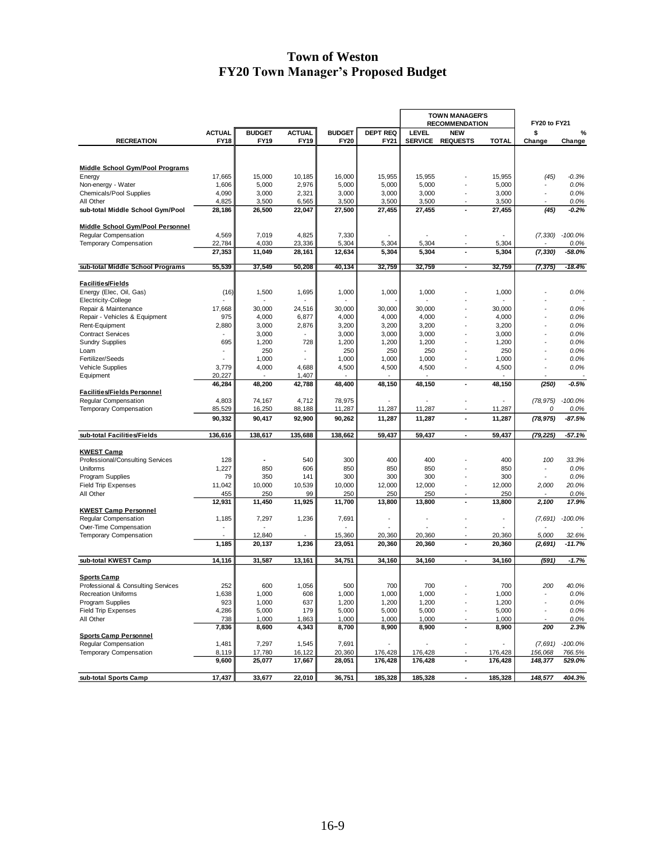# **Town of Weston FY20 Town Manager's Proposed Budget**

|                                                  |                              |                              |                              |                              |                         | <b>TOWN MANAGER'S</b><br><b>RECOMMENDATION</b> |                               |                              | FY20 to FY21             |                   |
|--------------------------------------------------|------------------------------|------------------------------|------------------------------|------------------------------|-------------------------|------------------------------------------------|-------------------------------|------------------------------|--------------------------|-------------------|
|                                                  | <b>ACTUAL</b><br><b>FY18</b> | <b>BUDGET</b><br><b>FY19</b> | <b>ACTUAL</b><br><b>FY19</b> | <b>BUDGET</b><br><b>FY20</b> | <b>DEPT REQ</b><br>FY21 | LEVEL<br><b>SERVICE</b>                        | <b>NEW</b><br><b>REQUESTS</b> | <b>TOTAL</b>                 | \$                       | %                 |
| <b>RECREATION</b>                                |                              |                              |                              |                              |                         |                                                |                               |                              | Change                   | Change            |
|                                                  |                              |                              |                              |                              |                         |                                                |                               |                              |                          |                   |
| <b>Middle School Gym/Pool Programs</b>           |                              |                              |                              |                              |                         |                                                |                               |                              |                          |                   |
| Energy                                           | 17,665                       | 15,000                       | 10,185                       | 16,000                       | 15,955                  | 15,955                                         |                               | 15,955                       | (45)                     | $-0.3%$           |
| Non-energy - Water                               | 1,606                        | 5,000                        | 2,976                        | 5,000                        | 5,000                   | 5,000                                          | $\overline{\phantom{a}}$      | 5,000                        |                          | 0.0%<br>0.0%      |
| Chemicals/Pool Supplies<br>All Other             | 4,090<br>4,825               | 3,000<br>3,500               | 2,321<br>6,565               | 3,000<br>3,500               | 3,000<br>3,500          | 3,000<br>3,500                                 |                               | 3,000<br>3,500               |                          | 0.0%              |
| sub-total Middle School Gym/Pool                 | 28,186                       | 26,500                       | 22,047                       | 27,500                       | 27,455                  | 27,455                                         | ٠                             | 27,455                       | (45)                     | -0.2%             |
|                                                  |                              |                              |                              |                              |                         |                                                |                               |                              |                          |                   |
| Middle School Gym/Pool Personnel                 |                              |                              |                              |                              |                         |                                                |                               |                              |                          |                   |
| Regular Compensation                             | 4,569                        | 7,019                        | 4,825                        | 7,330                        |                         |                                                |                               |                              |                          | $(7,330)$ -100.0% |
| Temporary Compensation                           | 22,784                       | 4,030                        | 23,336                       | 5,304                        | 5,304                   | 5,304                                          |                               | 5,304                        |                          | 0.0%              |
|                                                  | 27,353                       | 11,049                       | 28,161                       | 12,634                       | 5,304                   | 5,304                                          | ٠                             | 5,304                        | (7, 330)                 | $-58.0\%$         |
| sub-total Middle School Programs                 | 55,539                       | 37,549                       | 50,208                       | 40,134                       | 32,759                  | 32,759                                         | $\overline{\phantom{a}}$      | 32,759                       | (7, 375)                 | $-18.4%$          |
|                                                  |                              |                              |                              |                              |                         |                                                |                               |                              |                          |                   |
| <b>Facilities/Fields</b>                         |                              |                              |                              |                              |                         |                                                |                               |                              |                          |                   |
| Energy (Elec, Oil, Gas)                          | (16)                         | 1,500                        | 1,695                        | 1,000                        | 1,000                   | 1,000                                          |                               | 1,000                        |                          | 0.0%              |
| Electricity-College                              |                              |                              |                              |                              |                         |                                                |                               |                              |                          |                   |
| Repair & Maintenance                             | 17,668                       | 30,000                       | 24,516                       | 30,000                       | 30,000                  | 30,000                                         |                               | 30,000                       |                          | 0.0%              |
| Repair - Vehicles & Equipment                    | 975                          | 4,000                        | 6,877                        | 4,000                        | 4,000                   | 4,000                                          |                               | 4,000                        |                          | 0.0%              |
| Rent-Equipment                                   | 2,880                        | 3,000                        | 2,876                        | 3,200                        | 3,200                   | 3,200                                          |                               | 3,200                        |                          | 0.0%              |
| <b>Contract Services</b>                         |                              | 3,000                        | Ĭ.                           | 3,000                        | 3,000                   | 3,000                                          | ł,                            | 3,000                        |                          | 0.0%              |
| <b>Sundry Supplies</b>                           | 695                          | 1,200<br>250                 | 728<br>٠                     | 1,200<br>250                 | 1,200<br>250            | 1,200                                          |                               | 1,200<br>250                 |                          | 0.0%<br>0.0%      |
| Loam<br>Fertilizer/Seeds                         |                              | 1,000                        |                              | 1,000                        | 1,000                   | 250<br>1,000                                   | ÷,                            | 1,000                        |                          | 0.0%              |
| Vehicle Supplies                                 | 3,779                        | 4,000                        | 4,688                        | 4,500                        | 4,500                   | 4,500                                          | ÷,                            | 4,500                        | $\overline{a}$           | 0.0%              |
| Equipment                                        | 20,227                       |                              | 1,407                        |                              |                         |                                                |                               |                              |                          |                   |
|                                                  | 46,284                       | 48,200                       | 42,788                       | 48,400                       | 48,150                  | 48,150                                         | $\blacksquare$                | 48,150                       | (250)                    | $-0.5%$           |
| <b>Facilities/Fields Personnel</b>               |                              |                              |                              |                              |                         |                                                |                               |                              |                          |                   |
| Regular Compensation                             | 4,803                        | 74.167                       | 4,712                        | 78,975                       |                         |                                                |                               |                              | (78, 975)                | $-100.0%$         |
| <b>Temporary Compensation</b>                    | 85,529                       | 16,250                       | 88,188                       | 11,287                       | 11,287                  | 11,287                                         |                               | 11,287                       | Ω                        | 0.0%              |
|                                                  | 90,332                       | 90,417                       | 92,900                       | 90,262                       | 11,287                  | 11,287                                         | ٠                             | 11,287                       | (78, 975)                | $-87.5%$          |
|                                                  |                              |                              |                              |                              |                         |                                                |                               |                              |                          |                   |
| sub-total Facilities/Fields                      | 136,616                      | 138,617                      | 135,688                      | 138,662                      | 59,437                  | 59,437                                         | $\overline{\phantom{a}}$      | 59,437                       | (79, 225)                | $-57.1%$          |
| <b>KWEST Camp</b>                                |                              |                              |                              |                              |                         |                                                |                               |                              |                          |                   |
| Professional/Consulting Services                 | 128                          | ٠                            | 540                          | 300                          | 400                     | 400                                            |                               | 400                          | 100                      | 33.3%             |
| Uniforms                                         | 1,227                        | 850                          | 606                          | 850                          | 850                     | 850                                            |                               | 850                          |                          | 0.0%              |
| Program Supplies                                 | 79                           | 350                          | 141                          | 300                          | 300                     | 300                                            |                               | 300                          |                          | 0.0%              |
| <b>Field Trip Expenses</b>                       | 11,042                       | 10,000                       | 10,539                       | 10,000                       | 12,000                  | 12,000                                         | ÷,                            | 12,000                       | 2,000                    | 20.0%             |
| All Other                                        | 455                          | 250                          | 99                           | 250                          | 250                     | 250                                            |                               | 250                          |                          | 0.0%              |
|                                                  | 12,931                       | 11,450                       | 11,925                       | 11,700                       | 13,800                  | 13,800                                         | ٠                             | 13,800                       | 2,100                    | 17.9%             |
| <b>KWEST Camp Personnel</b>                      |                              |                              |                              |                              |                         |                                                |                               |                              |                          |                   |
| Regular Compensation                             | 1,185                        | 7,297                        | 1,236                        | 7,691                        |                         |                                                |                               | $\qquad \qquad \blacksquare$ | (7,691)                  | $-100.0%$         |
| Over-Time Compensation<br>Temporary Compensation |                              | 12,840                       |                              | 15,360                       | 20,360                  | 20,360                                         |                               | 20,360                       | 5,000                    | 32.6%             |
|                                                  | 1,185                        | 20,137                       | 1,236                        | 23,051                       | 20,360                  | 20,360                                         | ÷,                            | 20,360                       | (2,691)                  | $-11.7%$          |
|                                                  |                              |                              |                              |                              |                         |                                                |                               |                              |                          |                   |
| sub-total KWEST Camp                             | 14,116                       | 31,587                       | 13,161                       | 34,751                       | 34,160                  | 34,160                                         | ٠                             | 34,160                       | (591)                    | $-1.7%$           |
|                                                  |                              |                              |                              |                              |                         |                                                |                               |                              |                          |                   |
| <b>Sports Camp</b>                               |                              |                              |                              |                              |                         |                                                |                               |                              |                          |                   |
| Professional & Consulting Services               | 252                          | 600                          | 1,056                        | 500                          | 700                     | 700                                            |                               | 700                          | 200                      | 40.0%             |
| <b>Recreation Uniforms</b><br>Program Supplies   | 1,638<br>923                 | 1,000<br>1,000               | 608<br>637                   | 1.000<br>1,200               | 1.000<br>1,200          | 1,000<br>1,200                                 |                               | 1.000<br>1,200               | $\overline{\phantom{a}}$ | 0.0%<br>0.0%      |
| <b>Field Trip Expenses</b>                       | 4,286                        | 5,000                        | 179                          | 5,000                        | 5,000                   | 5,000                                          | ÷,                            | 5,000                        | $\tilde{\phantom{a}}$    | 0.0%              |
| All Other                                        | 738                          | 1,000                        | 1,863                        | 1,000                        | 1,000                   | 1,000                                          |                               | 1,000                        |                          | $0.0\%$           |
|                                                  | 7,836                        | 8,600                        | 4,343                        | 8,700                        | 8,900                   | 8,900                                          | $\overline{\phantom{a}}$      | 8,900                        | 200                      | 2.3%              |
| <b>Sports Camp Personnel</b>                     |                              |                              |                              |                              |                         |                                                |                               |                              |                          |                   |
| Regular Compensation                             | 1,481                        | 7,297                        | 1,545                        | 7,691                        |                         |                                                | ÷,                            |                              | (7,691)                  | $-100.0%$         |
| Temporary Compensation                           | 8,119                        | 17,780                       | 16,122                       | 20,360                       | 176,428                 | 176,428                                        |                               | 176,428                      | 156,068                  | 766.5%            |
|                                                  | 9,600                        | 25,077                       | 17,667                       | 28,051                       | 176,428                 | 176,428                                        | $\blacksquare$                | 176,428                      | 148,377                  | 529.0%            |
|                                                  |                              |                              |                              |                              |                         |                                                |                               |                              |                          |                   |
| sub-total Sports Camp                            | 17,437                       | 33,677                       | 22,010                       | 36,751                       | 185,328                 | 185,328                                        | $\overline{\phantom{a}}$      | 185,328                      | 148,577                  | 404.3%            |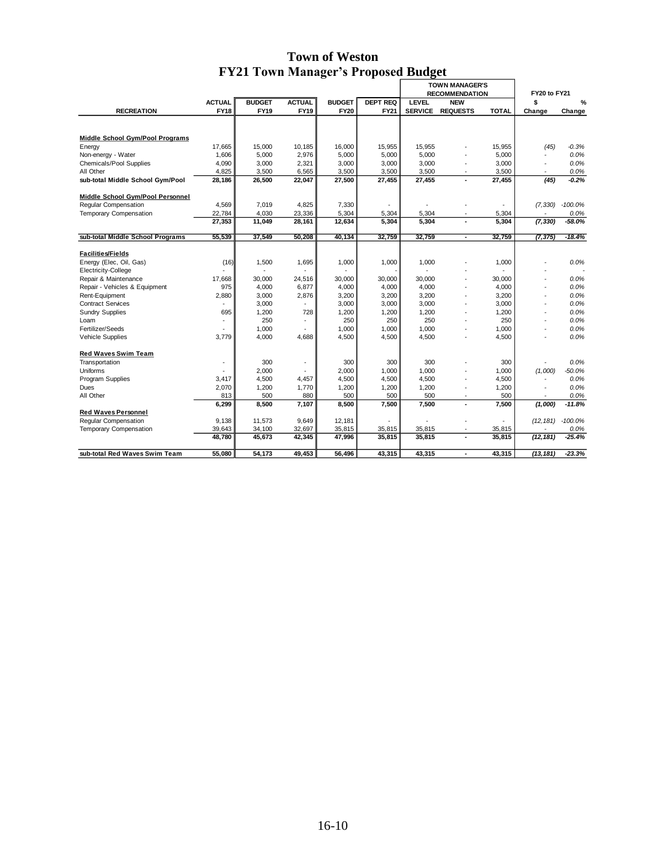# **Town of Weston FY21 Town Manager's Proposed Budget**

|                                        |               |               |                |               |                 | <b>TOWN MANAGER'S</b> |                          |              |                          |                      |
|----------------------------------------|---------------|---------------|----------------|---------------|-----------------|-----------------------|--------------------------|--------------|--------------------------|----------------------|
|                                        |               |               |                |               |                 | <b>RECOMMENDATION</b> |                          |              | <b>FY20 to FY21</b>      |                      |
|                                        | <b>ACTUAL</b> | <b>BUDGET</b> | <b>ACTUAL</b>  | <b>BUDGET</b> | <b>DEPT REQ</b> | <b>LEVEL</b>          | <b>NEW</b>               |              | \$                       | %                    |
| <b>RECREATION</b>                      | <b>FY18</b>   | <b>FY19</b>   | <b>FY19</b>    | <b>FY20</b>   | FY21            | <b>SERVICE</b>        | <b>REQUESTS</b>          | <b>TOTAL</b> | Change                   | Change               |
|                                        |               |               |                |               |                 |                       |                          |              |                          |                      |
|                                        |               |               |                |               |                 |                       |                          |              |                          |                      |
| <b>Middle School Gym/Pool Programs</b> |               |               |                |               |                 |                       |                          |              |                          |                      |
| Energy                                 | 17,665        | 15,000        | 10,185         | 16,000        | 15,955          | 15,955                |                          | 15,955       | (45)                     | $-0.3%$              |
| Non-energy - Water                     | 1,606         | 5,000         | 2,976          | 5,000         | 5,000           | 5,000                 |                          | 5,000        |                          | 0.0%                 |
| Chemicals/Pool Supplies                | 4,090         | 3,000         | 2,321          | 3,000         | 3.000           | 3.000                 | ÷,                       | 3.000        | $\sim$                   | 0.0%                 |
| All Other                              | 4,825         | 3,500         | 6,565          | 3,500         | 3,500           | 3,500                 |                          | 3,500        |                          | 0.0%                 |
| sub-total Middle School Gym/Pool       | 28,186        | 26,500        | 22,047         | 27,500        | 27,455          | 27,455                |                          | 27,455       | (45)                     | $-0.2%$              |
| Middle School Gym/Pool Personnel       |               |               |                |               |                 |                       |                          |              |                          |                      |
| Regular Compensation                   | 4,569         | 7,019         | 4,825          | 7,330         |                 | ÷                     |                          | ÷            | (7, 330)                 | $-100.0\%$           |
| <b>Temporary Compensation</b>          | 22,784        | 4,030         | 23,336         | 5,304         | 5,304           | 5,304                 | ÷,                       | 5,304        |                          | 0.0%                 |
|                                        | 27,353        | 11,049        | 28,161         | 12,634        | 5.304           | 5,304                 | $\overline{\phantom{a}}$ | 5.304        | (7, 330)                 | $-58.0%$             |
| sub-total Middle School Programs       | 55,539        | 37,549        | 50,208         | 40,134        | 32,759          | 32,759                | $\sim$                   | 32,759       | (7, 375)                 | -18.4%               |
|                                        |               |               |                |               |                 |                       |                          |              |                          |                      |
| <b>Facilities/Fields</b>               |               |               |                |               |                 |                       |                          |              |                          |                      |
| Energy (Elec, Oil, Gas)                | (16)          | 1,500         | 1,695          | 1,000         | 1,000           | 1,000                 |                          | 1,000        |                          | 0.0%                 |
| Electricity-College                    |               |               |                |               |                 |                       |                          |              |                          |                      |
| Repair & Maintenance                   | 17.668        | 30,000        | 24.516         | 30,000        | 30,000          | 30,000                | ÷,                       | 30,000       | $\overline{a}$           | 0.0%                 |
| Repair - Vehicles & Equipment          | 975           | 4,000         | 6,877          | 4,000         | 4,000           | 4,000                 | ÷,                       | 4,000        |                          | 0.0%                 |
| Rent-Equipment                         | 2,880         | 3,000         | 2,876          | 3,200         | 3,200           | 3,200                 | ÷,                       | 3,200        |                          | 0.0%                 |
| <b>Contract Services</b>               |               | 3,000         | $\overline{a}$ | 3,000         | 3,000           | 3,000                 | ÷,                       | 3,000        |                          | 0.0%                 |
| <b>Sundry Supplies</b>                 | 695           | 1,200         | 728            | 1,200         | 1,200           | 1,200                 | ٠                        | 1,200        |                          | 0.0%                 |
| Loam                                   |               | 250           | ä,             | 250           | 250             | 250                   | $\overline{\phantom{a}}$ | 250          | $\overline{\phantom{a}}$ | 0.0%                 |
| Fertilizer/Seeds                       |               | 1,000         |                | 1,000         | 1,000           | 1,000                 | ÷,                       | 1,000        |                          | 0.0%                 |
| <b>Vehicle Supplies</b>                | 3.779         | 4.000         | 4.688          | 4,500         | 4,500           | 4.500                 | ÷,                       | 4,500        |                          | 0.0%                 |
| <b>Red Waves Swim Team</b>             |               |               |                |               |                 |                       |                          |              |                          |                      |
| Transportation                         |               | 300           | ä,             | 300           | 300             | 300                   |                          | 300          |                          | 0.0%                 |
| Uniforms                               |               | 2,000         |                | 2,000         | 1,000           | 1,000                 | ÷,                       | 1,000        | (1,000)                  | $-50.0%$             |
| Program Supplies                       | 3,417         | 4,500         | 4.457          | 4,500         | 4,500           | 4,500                 | ٠                        | 4,500        |                          | 0.0%                 |
| Dues                                   | 2,070         | 1,200         | 1,770          | 1,200         | 1,200           | 1,200                 | ÷,                       | 1,200        |                          | 0.0%                 |
| All Other                              | 813           | 500           | 880            | 500           | 500             | 500                   | ÷                        | 500          | $\overline{\phantom{a}}$ | 0.0%                 |
|                                        | 6,299         | 8,500         | 7,107          | 8,500         | 7,500           | 7,500                 | $\overline{\phantom{a}}$ | 7.500        | (1,000)                  | $-11.8%$             |
| <b>Red Waves Personnel</b>             |               |               |                |               |                 |                       |                          |              |                          |                      |
| Regular Compensation                   | 9,138         | 11,573        | 9,649          | 12,181        |                 |                       |                          |              |                          | $(12, 181) -100.0\%$ |
| <b>Temporary Compensation</b>          | 39,643        | 34,100        | 32,697         | 35,815        | 35,815          | 35,815                |                          | 35,815       |                          | 0.0%                 |
|                                        | 48,780        | 45,673        | 42,345         | 47,996        | 35,815          | 35,815                | $\blacksquare$           | 35,815       | (12, 181)                | $-25.4%$             |
| sub-total Red Waves Swim Team          | 55,080        | 54,173        | 49,453         | 56,496        | 43,315          | 43,315                | Ĭ.                       | 43,315       | (13, 181)                | $-23.3%$             |
|                                        |               |               |                |               |                 |                       |                          |              |                          |                      |